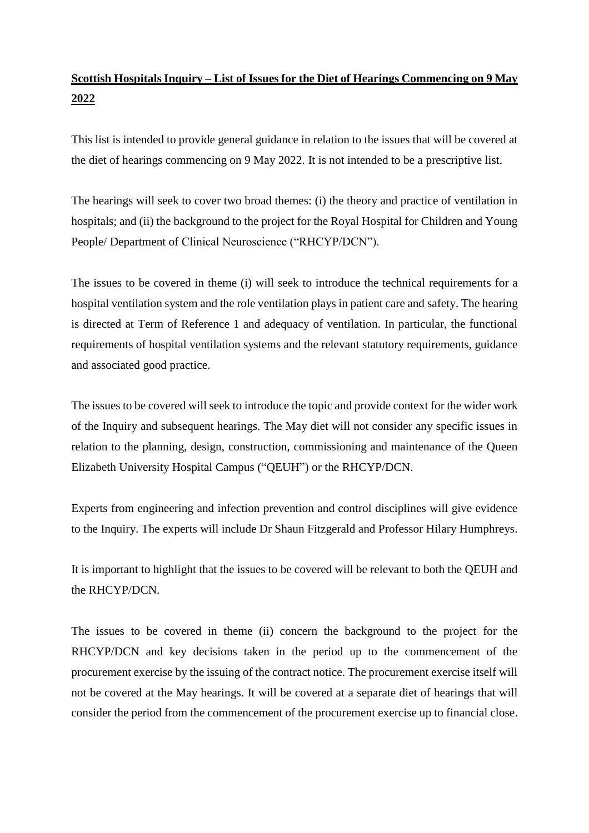## **Scottish Hospitals Inquiry – List of Issues for the Diet of Hearings Commencing on 9 May 2022**

This list is intended to provide general guidance in relation to the issues that will be covered at the diet of hearings commencing on 9 May 2022. It is not intended to be a prescriptive list.

The hearings will seek to cover two broad themes: (i) the theory and practice of ventilation in hospitals; and (ii) the background to the project for the Royal Hospital for Children and Young People/ Department of Clinical Neuroscience ("RHCYP/DCN").

The issues to be covered in theme (i) will seek to introduce the technical requirements for a hospital ventilation system and the role ventilation plays in patient care and safety. The hearing is directed at Term of Reference 1 and adequacy of ventilation. In particular, the functional requirements of hospital ventilation systems and the relevant statutory requirements, guidance and associated good practice.

The issues to be covered will seek to introduce the topic and provide context for the wider work of the Inquiry and subsequent hearings. The May diet will not consider any specific issues in relation to the planning, design, construction, commissioning and maintenance of the Queen Elizabeth University Hospital Campus ("QEUH") or the RHCYP/DCN.

Experts from engineering and infection prevention and control disciplines will give evidence to the Inquiry. The experts will include Dr Shaun Fitzgerald and Professor Hilary Humphreys.

It is important to highlight that the issues to be covered will be relevant to both the QEUH and the RHCYP/DCN.

The issues to be covered in theme (ii) concern the background to the project for the RHCYP/DCN and key decisions taken in the period up to the commencement of the procurement exercise by the issuing of the contract notice. The procurement exercise itself will not be covered at the May hearings. It will be covered at a separate diet of hearings that will consider the period from the commencement of the procurement exercise up to financial close.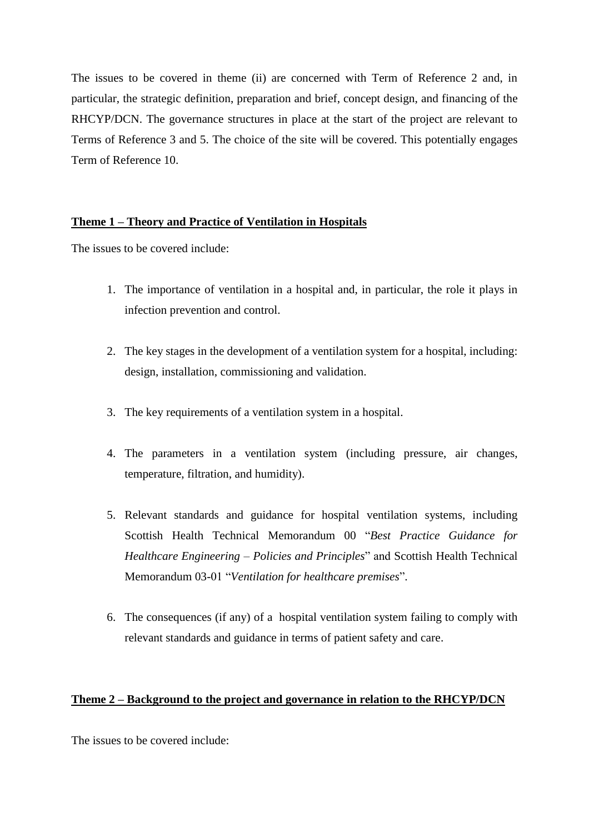The issues to be covered in theme (ii) are concerned with Term of Reference 2 and, in particular, the strategic definition, preparation and brief, concept design, and financing of the RHCYP/DCN. The governance structures in place at the start of the project are relevant to Terms of Reference 3 and 5. The choice of the site will be covered. This potentially engages Term of Reference 10.

## **Theme 1 – Theory and Practice of Ventilation in Hospitals**

The issues to be covered include:

- 1. The importance of ventilation in a hospital and, in particular, the role it plays in infection prevention and control.
- 2. The key stages in the development of a ventilation system for a hospital, including: design, installation, commissioning and validation.
- 3. The key requirements of a ventilation system in a hospital.
- 4. The parameters in a ventilation system (including pressure, air changes, temperature, filtration, and humidity).
- 5. Relevant standards and guidance for hospital ventilation systems, including Scottish Health Technical Memorandum 00 "*Best Practice Guidance for Healthcare Engineering – Policies and Principles*" and Scottish Health Technical Memorandum 03-01 "*Ventilation for healthcare premises*".
- 6. The consequences (if any) of a hospital ventilation system failing to comply with relevant standards and guidance in terms of patient safety and care.

## **Theme 2 – Background to the project and governance in relation to the RHCYP/DCN**

The issues to be covered include: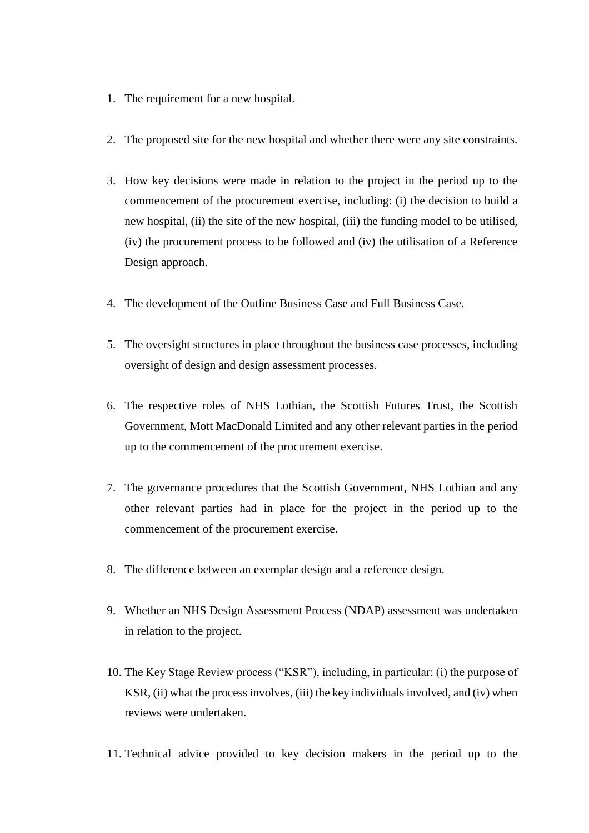- 1. The requirement for a new hospital.
- 2. The proposed site for the new hospital and whether there were any site constraints.
- 3. How key decisions were made in relation to the project in the period up to the commencement of the procurement exercise, including: (i) the decision to build a new hospital, (ii) the site of the new hospital, (iii) the funding model to be utilised, (iv) the procurement process to be followed and (iv) the utilisation of a Reference Design approach.
- 4. The development of the Outline Business Case and Full Business Case.
- 5. The oversight structures in place throughout the business case processes, including oversight of design and design assessment processes.
- 6. The respective roles of NHS Lothian, the Scottish Futures Trust, the Scottish Government, Mott MacDonald Limited and any other relevant parties in the period up to the commencement of the procurement exercise.
- 7. The governance procedures that the Scottish Government, NHS Lothian and any other relevant parties had in place for the project in the period up to the commencement of the procurement exercise.
- 8. The difference between an exemplar design and a reference design.
- 9. Whether an NHS Design Assessment Process (NDAP) assessment was undertaken in relation to the project.
- 10. The Key Stage Review process ("KSR"), including, in particular: (i) the purpose of KSR, (ii) what the process involves, (iii) the key individuals involved, and (iv) when reviews were undertaken.
- 11. Technical advice provided to key decision makers in the period up to the